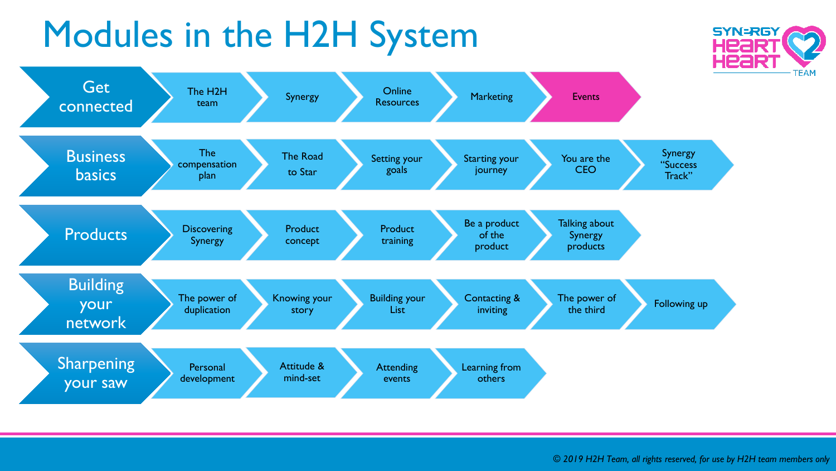## Modules in the H2H System





*© 2019 H2H Team, all rights reserved, for use by H2H team members only*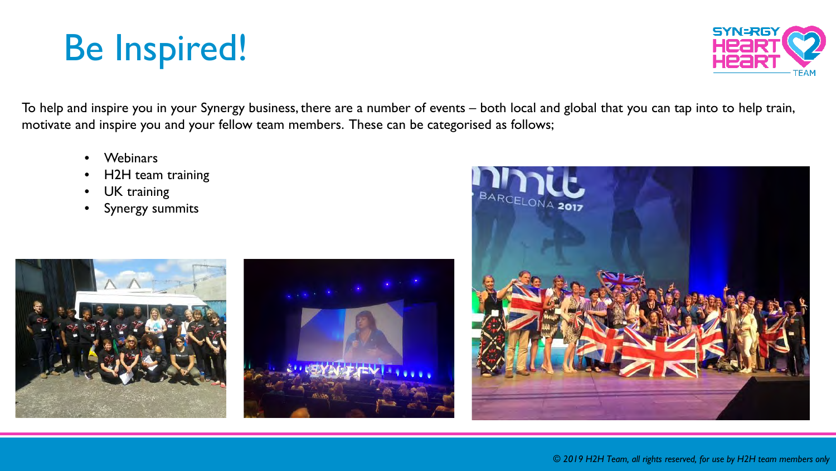## Be Inspired!



To help and inspire you in your Synergy business, there are a number of events – both local and global that you can tap into to help train, motivate and inspire you and your fellow team members. These can be categorised as follows;

- Webinars
- H2H team training
- UK training
- Synergy summits





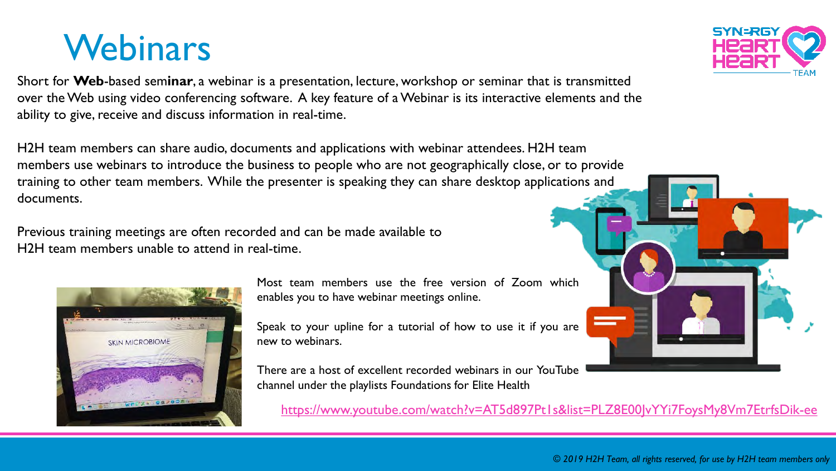#### **Webinars**

Short for **Web**-based sem**inar**, a webinar is a presentation, lecture, workshop or seminar that is transmitted over the Web using video conferencing software. A key feature of a Webinar is its interactive elements and the ability to give, receive and discuss information in real-time.

H2H team members can share audio, documents and applications with webinar attendees. H2H team members use webinars to introduce the business to people who are not geographically close, or to provide training to other team members. While the presenter is speaking they can share desktop applications and documents.

Previous training meetings are often recorded and can be made available to H2H team members unable to attend in real-time.

> Most team members use the free version of Zoom which enables you to have webinar meetings online.

> Speak to your upline for a tutorial of how to use it if you are new to webinars.

> There are a host of excellent recorded webinars in our YouTube channel under the playlists Foundations for Elite Health

<https://www.youtube.com/watch?v=AT5d897Pt1s&list=PLZ8E00JvYYi7FoysMy8Vm7EtrfsDik-ee>





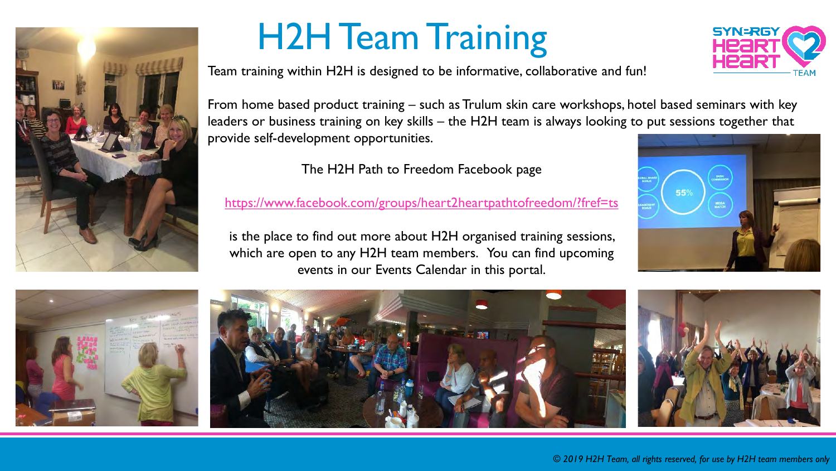

### H2H Team Training

Team training within H2H is designed to be informative, collaborative and fun!



From home based product training – such as Trulum skin care workshops, hotel based seminars with key leaders or business training on key skills – the H2H team is always looking to put sessions together that provide self-development opportunities.

The H2H Path to Freedom Facebook page

<https://www.facebook.com/groups/heart2heartpathtofreedom/?fref=ts>

is the place to find out more about H2H organised training sessions, which are open to any H2H team members. You can find upcoming events in our Events Calendar in this portal.







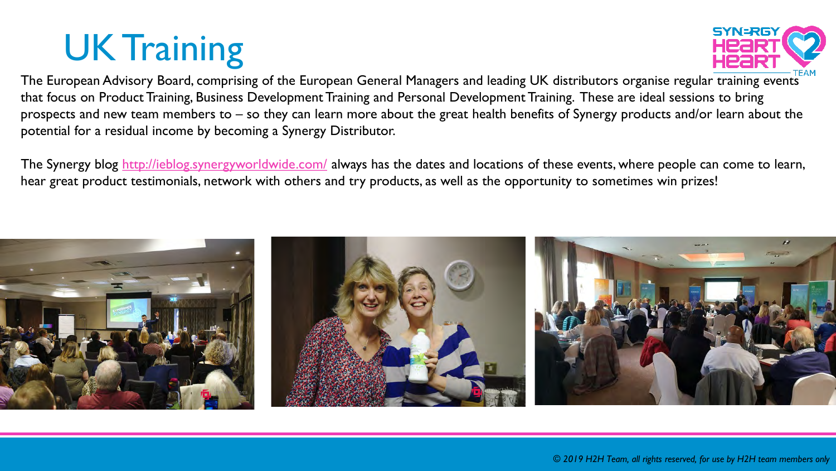# UK Training



The European Advisory Board, comprising of the European General Managers and leading UK distributors organise regular training events that focus on Product Training, Business Development Training and Personal Development Training. These are ideal sessions to bring prospects and new team members to – so they can learn more about the great health benefits of Synergy products and/or learn about the potential for a residual income by becoming a Synergy Distributor.

The Synergy blog<http://ieblog.synergyworldwide.com/> always has the dates and locations of these events, where people can come to learn, hear great product testimonials, network with others and try products, as well as the opportunity to sometimes win prizes!

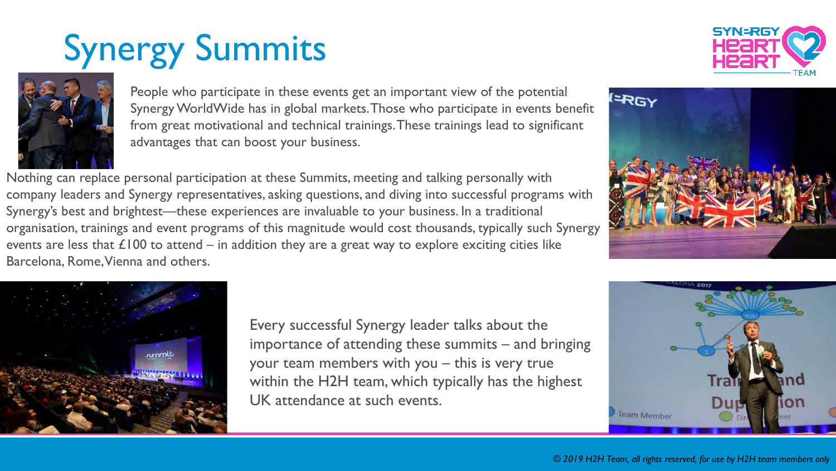# Synergy Summits





People who participate in these events get an important view of the potential Synergy WorldWide has in global markets. Those who participate in events benefit from great motivational and technical trainings. These trainings lead to significant advantages that can boost your business.

Nothing can replace personal participation at these Summits, meeting and talking personally with company leaders and Synergy representatives, asking questions, and diving into successful programs with Synergy's best and brightest—these experiences are invaluable to your business. In a traditional organisation, trainings and event programs of this magnitude would cost thousands, typically such Synergy events are less that  $\angle 100$  to attend – in addition they are a great way to explore exciting cities like Barcelona, Rome, Vienna and others.





Every successful Synergy leader talks about the importance of attending these summits – and bringing your team members with you – this is very true within the H2H team, which typically has the highest UK attendance at such events.